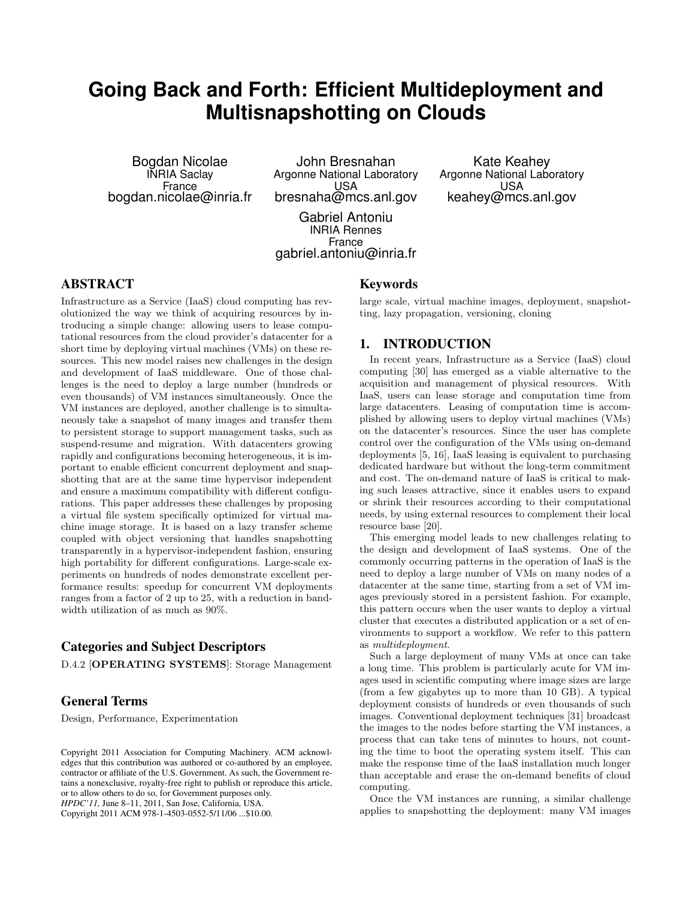# **Going Back and Forth: Efficient Multideployment and Multisnapshotting on Clouds**

Bogdan Nicolae INRIA Saclay France bogdan.nicolae@inria.fr

John Bresnahan Argonne National Laboratory USA bresnaha@mcs.anl.gov

Kate Keahey Argonne National Laboratory USA keahey@mcs.anl.gov

Gabriel Antoniu INRIA Rennes France gabriel.antoniu@inria.fr

# **ABSTRACT**

Infrastructure as a Service (IaaS) cloud computing has revolutionized the way we think of acquiring resources by introducing a simple change: allowing users to lease computational resources from the cloud provider's datacenter for a short time by deploying virtual machines (VMs) on these resources. This new model raises new challenges in the design and development of IaaS middleware. One of those challenges is the need to deploy a large number (hundreds or even thousands) of VM instances simultaneously. Once the VM instances are deployed, another challenge is to simultaneously take a snapshot of many images and transfer them to persistent storage to support management tasks, such as suspend-resume and migration. With datacenters growing rapidly and configurations becoming heterogeneous, it is important to enable efficient concurrent deployment and snapshotting that are at the same time hypervisor independent and ensure a maximum compatibility with different configurations. This paper addresses these challenges by proposing a virtual file system specifically optimized for virtual machine image storage. It is based on a lazy transfer scheme coupled with object versioning that handles snapshotting transparently in a hypervisor-independent fashion, ensuring high portability for different configurations. Large-scale experiments on hundreds of nodes demonstrate excellent performance results: speedup for concurrent VM deployments ranges from a factor of 2 up to 25, with a reduction in bandwidth utilization of as much as 90%.

# **Categories and Subject Descriptors**

D.4.2 [OPERATING SYSTEMS]: Storage Management

# **General Terms**

Design, Performance, Experimentation

Copyright 2011 ACM 978-1-4503-0552-5/11/06 ...\$10.00.

#### **Keywords**

large scale, virtual machine images, deployment, snapshotting, lazy propagation, versioning, cloning

# **1. INTRODUCTION**

In recent years, Infrastructure as a Service (IaaS) cloud computing [30] has emerged as a viable alternative to the acquisition and management of physical resources. With IaaS, users can lease storage and computation time from large datacenters. Leasing of computation time is accomplished by allowing users to deploy virtual machines (VMs) on the datacenter's resources. Since the user has complete control over the configuration of the VMs using on-demand deployments [5, 16], IaaS leasing is equivalent to purchasing dedicated hardware but without the long-term commitment and cost. The on-demand nature of IaaS is critical to making such leases attractive, since it enables users to expand or shrink their resources according to their computational needs, by using external resources to complement their local resource base [20].

This emerging model leads to new challenges relating to the design and development of IaaS systems. One of the commonly occurring patterns in the operation of IaaS is the need to deploy a large number of VMs on many nodes of a datacenter at the same time, starting from a set of VM images previously stored in a persistent fashion. For example, this pattern occurs when the user wants to deploy a virtual cluster that executes a distributed application or a set of environments to support a workflow. We refer to this pattern as multideployment.

Such a large deployment of many VMs at once can take a long time. This problem is particularly acute for VM images used in scientific computing where image sizes are large (from a few gigabytes up to more than 10 GB). A typical deployment consists of hundreds or even thousands of such images. Conventional deployment techniques [31] broadcast the images to the nodes before starting the VM instances, a process that can take tens of minutes to hours, not counting the time to boot the operating system itself. This can make the response time of the IaaS installation much longer than acceptable and erase the on-demand benefits of cloud computing.

Once the VM instances are running, a similar challenge applies to snapshotting the deployment: many VM images

Copyright 2011 Association for Computing Machinery. ACM acknowledges that this contribution was authored or co-authored by an employee, contractor or affiliate of the U.S. Government. As such, the Government retains a nonexclusive, royalty-free right to publish or reproduce this article, or to allow others to do so, for Government purposes only. *HPDC'11,* June 8–11, 2011, San Jose, California, USA.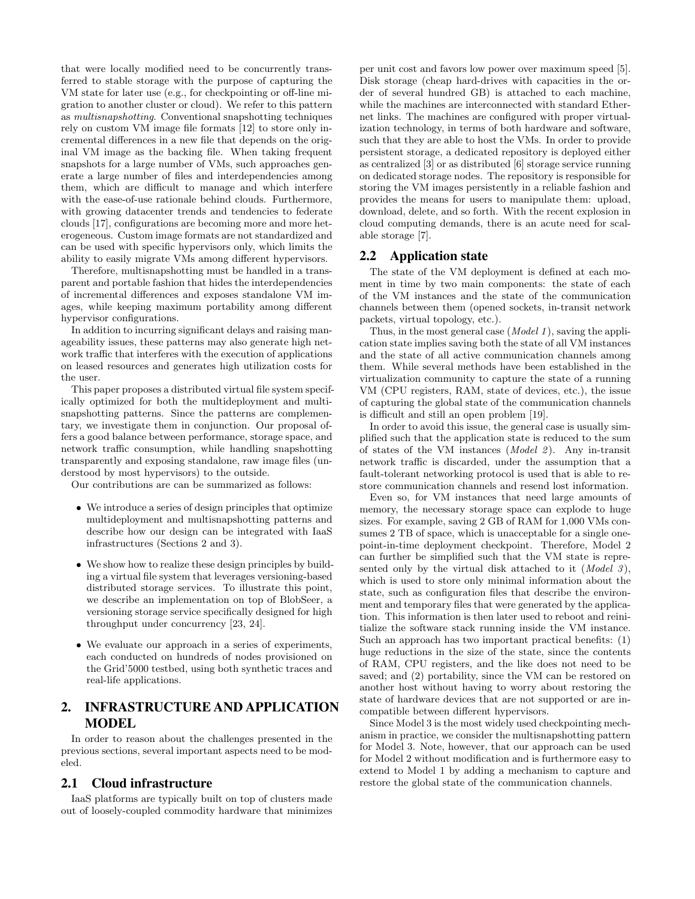that were locally modified need to be concurrently transferred to stable storage with the purpose of capturing the VM state for later use (e.g., for checkpointing or off-line migration to another cluster or cloud). We refer to this pattern as multisnapshotting. Conventional snapshotting techniques rely on custom VM image file formats [12] to store only incremental differences in a new file that depends on the original VM image as the backing file. When taking frequent snapshots for a large number of VMs, such approaches generate a large number of files and interdependencies among them, which are difficult to manage and which interfere with the ease-of-use rationale behind clouds. Furthermore, with growing datacenter trends and tendencies to federate clouds [17], configurations are becoming more and more heterogeneous. Custom image formats are not standardized and can be used with specific hypervisors only, which limits the ability to easily migrate VMs among different hypervisors.

Therefore, multisnapshotting must be handled in a transparent and portable fashion that hides the interdependencies of incremental differences and exposes standalone VM images, while keeping maximum portability among different hypervisor configurations.

In addition to incurring significant delays and raising manageability issues, these patterns may also generate high network traffic that interferes with the execution of applications on leased resources and generates high utilization costs for the user.

This paper proposes a distributed virtual file system specifically optimized for both the multideployment and multisnapshotting patterns. Since the patterns are complementary, we investigate them in conjunction. Our proposal offers a good balance between performance, storage space, and network traffic consumption, while handling snapshotting transparently and exposing standalone, raw image files (understood by most hypervisors) to the outside.

Our contributions are can be summarized as follows:

- We introduce a series of design principles that optimize multideployment and multisnapshotting patterns and describe how our design can be integrated with IaaS infrastructures (Sections 2 and 3).
- We show how to realize these design principles by building a virtual file system that leverages versioning-based distributed storage services. To illustrate this point, we describe an implementation on top of BlobSeer, a versioning storage service specifically designed for high throughput under concurrency [23, 24].
- We evaluate our approach in a series of experiments, each conducted on hundreds of nodes provisioned on the Grid'5000 testbed, using both synthetic traces and real-life applications.

# **2. INFRASTRUCTURE AND APPLICATION MODEL**

In order to reason about the challenges presented in the previous sections, several important aspects need to be modeled.

# **2.1 Cloud infrastructure**

IaaS platforms are typically built on top of clusters made out of loosely-coupled commodity hardware that minimizes

per unit cost and favors low power over maximum speed [5]. Disk storage (cheap hard-drives with capacities in the order of several hundred GB) is attached to each machine, while the machines are interconnected with standard Ethernet links. The machines are configured with proper virtualization technology, in terms of both hardware and software, such that they are able to host the VMs. In order to provide persistent storage, a dedicated repository is deployed either as centralized [3] or as distributed [6] storage service running on dedicated storage nodes. The repository is responsible for storing the VM images persistently in a reliable fashion and provides the means for users to manipulate them: upload, download, delete, and so forth. With the recent explosion in cloud computing demands, there is an acute need for scalable storage [7].

## **2.2 Application state**

The state of the VM deployment is defined at each moment in time by two main components: the state of each of the VM instances and the state of the communication channels between them (opened sockets, in-transit network packets, virtual topology, etc.).

Thus, in the most general case (*Model 1*), saving the application state implies saving both the state of all VM instances and the state of all active communication channels among them. While several methods have been established in the virtualization community to capture the state of a running VM (CPU registers, RAM, state of devices, etc.), the issue of capturing the global state of the communication channels is difficult and still an open problem [19].

In order to avoid this issue, the general case is usually simplified such that the application state is reduced to the sum of states of the VM instances  $(Model 2)$ . Any in-transit network traffic is discarded, under the assumption that a fault-tolerant networking protocol is used that is able to restore communication channels and resend lost information.

Even so, for VM instances that need large amounts of memory, the necessary storage space can explode to huge sizes. For example, saving 2 GB of RAM for 1,000 VMs consumes 2 TB of space, which is unacceptable for a single onepoint-in-time deployment checkpoint. Therefore, Model 2 can further be simplified such that the VM state is represented only by the virtual disk attached to it  $(Model 3)$ , which is used to store only minimal information about the state, such as configuration files that describe the environment and temporary files that were generated by the application. This information is then later used to reboot and reinitialize the software stack running inside the VM instance. Such an approach has two important practical benefits: (1) huge reductions in the size of the state, since the contents of RAM, CPU registers, and the like does not need to be saved; and (2) portability, since the VM can be restored on another host without having to worry about restoring the state of hardware devices that are not supported or are incompatible between different hypervisors.

Since Model 3 is the most widely used checkpointing mechanism in practice, we consider the multisnapshotting pattern for Model 3. Note, however, that our approach can be used for Model 2 without modification and is furthermore easy to extend to Model 1 by adding a mechanism to capture and restore the global state of the communication channels.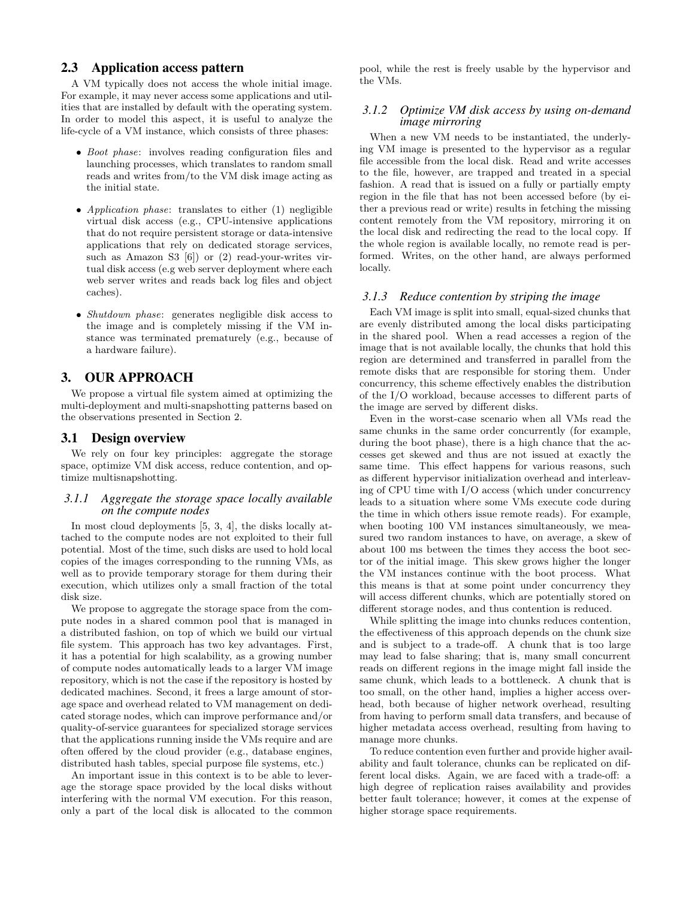# **2.3 Application access pattern**

A VM typically does not access the whole initial image. For example, it may never access some applications and utilities that are installed by default with the operating system. In order to model this aspect, it is useful to analyze the life-cycle of a VM instance, which consists of three phases:

- Boot phase: involves reading configuration files and launching processes, which translates to random small reads and writes from/to the VM disk image acting as the initial state.
- Application phase: translates to either (1) negligible virtual disk access (e.g., CPU-intensive applications that do not require persistent storage or data-intensive applications that rely on dedicated storage services, such as Amazon S3 [6]) or (2) read-your-writes virtual disk access (e.g web server deployment where each web server writes and reads back log files and object caches).
- *Shutdown phase*: generates negligible disk access to the image and is completely missing if the VM instance was terminated prematurely (e.g., because of a hardware failure).

# **3. OUR APPROACH**

We propose a virtual file system aimed at optimizing the multi-deployment and multi-snapshotting patterns based on the observations presented in Section 2.

# **3.1 Design overview**

We rely on four key principles: aggregate the storage space, optimize VM disk access, reduce contention, and optimize multisnapshotting.

## *3.1.1 Aggregate the storage space locally available on the compute nodes*

In most cloud deployments [5, 3, 4], the disks locally attached to the compute nodes are not exploited to their full potential. Most of the time, such disks are used to hold local copies of the images corresponding to the running VMs, as well as to provide temporary storage for them during their execution, which utilizes only a small fraction of the total disk size.

We propose to aggregate the storage space from the compute nodes in a shared common pool that is managed in a distributed fashion, on top of which we build our virtual file system. This approach has two key advantages. First, it has a potential for high scalability, as a growing number of compute nodes automatically leads to a larger VM image repository, which is not the case if the repository is hosted by dedicated machines. Second, it frees a large amount of storage space and overhead related to VM management on dedicated storage nodes, which can improve performance and/or quality-of-service guarantees for specialized storage services that the applications running inside the VMs require and are often offered by the cloud provider (e.g., database engines, distributed hash tables, special purpose file systems, etc.)

An important issue in this context is to be able to leverage the storage space provided by the local disks without interfering with the normal VM execution. For this reason, only a part of the local disk is allocated to the common pool, while the rest is freely usable by the hypervisor and the VMs.

#### *3.1.2 Optimize VM disk access by using on-demand image mirroring*

When a new VM needs to be instantiated, the underlying VM image is presented to the hypervisor as a regular file accessible from the local disk. Read and write accesses to the file, however, are trapped and treated in a special fashion. A read that is issued on a fully or partially empty region in the file that has not been accessed before (by either a previous read or write) results in fetching the missing content remotely from the VM repository, mirroring it on the local disk and redirecting the read to the local copy. If the whole region is available locally, no remote read is performed. Writes, on the other hand, are always performed locally.

#### *3.1.3 Reduce contention by striping the image*

Each VM image is split into small, equal-sized chunks that are evenly distributed among the local disks participating in the shared pool. When a read accesses a region of the image that is not available locally, the chunks that hold this region are determined and transferred in parallel from the remote disks that are responsible for storing them. Under concurrency, this scheme effectively enables the distribution of the I/O workload, because accesses to different parts of the image are served by different disks.

Even in the worst-case scenario when all VMs read the same chunks in the same order concurrently (for example, during the boot phase), there is a high chance that the accesses get skewed and thus are not issued at exactly the same time. This effect happens for various reasons, such as different hypervisor initialization overhead and interleaving of CPU time with I/O access (which under concurrency leads to a situation where some VMs execute code during the time in which others issue remote reads). For example, when booting 100 VM instances simultaneously, we measured two random instances to have, on average, a skew of about 100 ms between the times they access the boot sector of the initial image. This skew grows higher the longer the VM instances continue with the boot process. What this means is that at some point under concurrency they will access different chunks, which are potentially stored on different storage nodes, and thus contention is reduced.

While splitting the image into chunks reduces contention, the effectiveness of this approach depends on the chunk size and is subject to a trade-off. A chunk that is too large may lead to false sharing; that is, many small concurrent reads on different regions in the image might fall inside the same chunk, which leads to a bottleneck. A chunk that is too small, on the other hand, implies a higher access overhead, both because of higher network overhead, resulting from having to perform small data transfers, and because of higher metadata access overhead, resulting from having to manage more chunks.

To reduce contention even further and provide higher availability and fault tolerance, chunks can be replicated on different local disks. Again, we are faced with a trade-off: a high degree of replication raises availability and provides better fault tolerance; however, it comes at the expense of higher storage space requirements.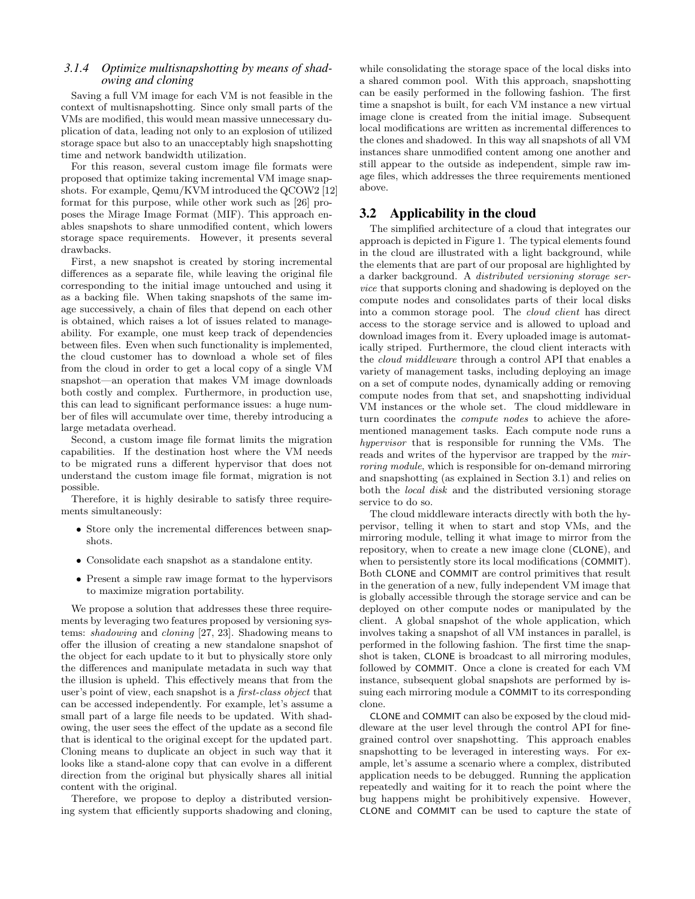#### *3.1.4 Optimize multisnapshotting by means of shadowing and cloning*

Saving a full VM image for each VM is not feasible in the context of multisnapshotting. Since only small parts of the VMs are modified, this would mean massive unnecessary duplication of data, leading not only to an explosion of utilized storage space but also to an unacceptably high snapshotting time and network bandwidth utilization.

For this reason, several custom image file formats were proposed that optimize taking incremental VM image snapshots. For example, Qemu/KVM introduced the QCOW2 [12] format for this purpose, while other work such as [26] proposes the Mirage Image Format (MIF). This approach enables snapshots to share unmodified content, which lowers storage space requirements. However, it presents several drawbacks.

First, a new snapshot is created by storing incremental differences as a separate file, while leaving the original file corresponding to the initial image untouched and using it as a backing file. When taking snapshots of the same image successively, a chain of files that depend on each other is obtained, which raises a lot of issues related to manageability. For example, one must keep track of dependencies between files. Even when such functionality is implemented, the cloud customer has to download a whole set of files from the cloud in order to get a local copy of a single VM snapshot—an operation that makes VM image downloads both costly and complex. Furthermore, in production use, this can lead to significant performance issues: a huge number of files will accumulate over time, thereby introducing a large metadata overhead.

Second, a custom image file format limits the migration capabilities. If the destination host where the VM needs to be migrated runs a different hypervisor that does not understand the custom image file format, migration is not possible.

Therefore, it is highly desirable to satisfy three requirements simultaneously:

- Store only the incremental differences between snapshots.
- Consolidate each snapshot as a standalone entity.
- Present a simple raw image format to the hypervisors to maximize migration portability.

We propose a solution that addresses these three requirements by leveraging two features proposed by versioning systems: shadowing and cloning [27, 23]. Shadowing means to offer the illusion of creating a new standalone snapshot of the object for each update to it but to physically store only the differences and manipulate metadata in such way that the illusion is upheld. This effectively means that from the user's point of view, each snapshot is a first-class object that can be accessed independently. For example, let's assume a small part of a large file needs to be updated. With shadowing, the user sees the effect of the update as a second file that is identical to the original except for the updated part. Cloning means to duplicate an object in such way that it looks like a stand-alone copy that can evolve in a different direction from the original but physically shares all initial content with the original.

Therefore, we propose to deploy a distributed versioning system that efficiently supports shadowing and cloning,

while consolidating the storage space of the local disks into a shared common pool. With this approach, snapshotting can be easily performed in the following fashion. The first time a snapshot is built, for each VM instance a new virtual image clone is created from the initial image. Subsequent local modifications are written as incremental differences to the clones and shadowed. In this way all snapshots of all VM instances share unmodified content among one another and still appear to the outside as independent, simple raw image files, which addresses the three requirements mentioned above.

# **3.2 Applicability in the cloud**

The simplified architecture of a cloud that integrates our approach is depicted in Figure 1. The typical elements found in the cloud are illustrated with a light background, while the elements that are part of our proposal are highlighted by a darker background. A distributed versioning storage service that supports cloning and shadowing is deployed on the compute nodes and consolidates parts of their local disks into a common storage pool. The cloud client has direct access to the storage service and is allowed to upload and download images from it. Every uploaded image is automatically striped. Furthermore, the cloud client interacts with the cloud middleware through a control API that enables a variety of management tasks, including deploying an image on a set of compute nodes, dynamically adding or removing compute nodes from that set, and snapshotting individual VM instances or the whole set. The cloud middleware in turn coordinates the compute nodes to achieve the aforementioned management tasks. Each compute node runs a hypervisor that is responsible for running the VMs. The reads and writes of the hypervisor are trapped by the mirroring module, which is responsible for on-demand mirroring and snapshotting (as explained in Section 3.1) and relies on both the local disk and the distributed versioning storage service to do so.

The cloud middleware interacts directly with both the hypervisor, telling it when to start and stop VMs, and the mirroring module, telling it what image to mirror from the repository, when to create a new image clone (CLONE), and when to persistently store its local modifications (COMMIT). Both CLONE and COMMIT are control primitives that result in the generation of a new, fully independent VM image that is globally accessible through the storage service and can be deployed on other compute nodes or manipulated by the client. A global snapshot of the whole application, which involves taking a snapshot of all VM instances in parallel, is performed in the following fashion. The first time the snapshot is taken, CLONE is broadcast to all mirroring modules, followed by COMMIT. Once a clone is created for each VM instance, subsequent global snapshots are performed by issuing each mirroring module a COMMIT to its corresponding clone.

CLONE and COMMIT can also be exposed by the cloud middleware at the user level through the control API for finegrained control over snapshotting. This approach enables snapshotting to be leveraged in interesting ways. For example, let's assume a scenario where a complex, distributed application needs to be debugged. Running the application repeatedly and waiting for it to reach the point where the bug happens might be prohibitively expensive. However, CLONE and COMMIT can be used to capture the state of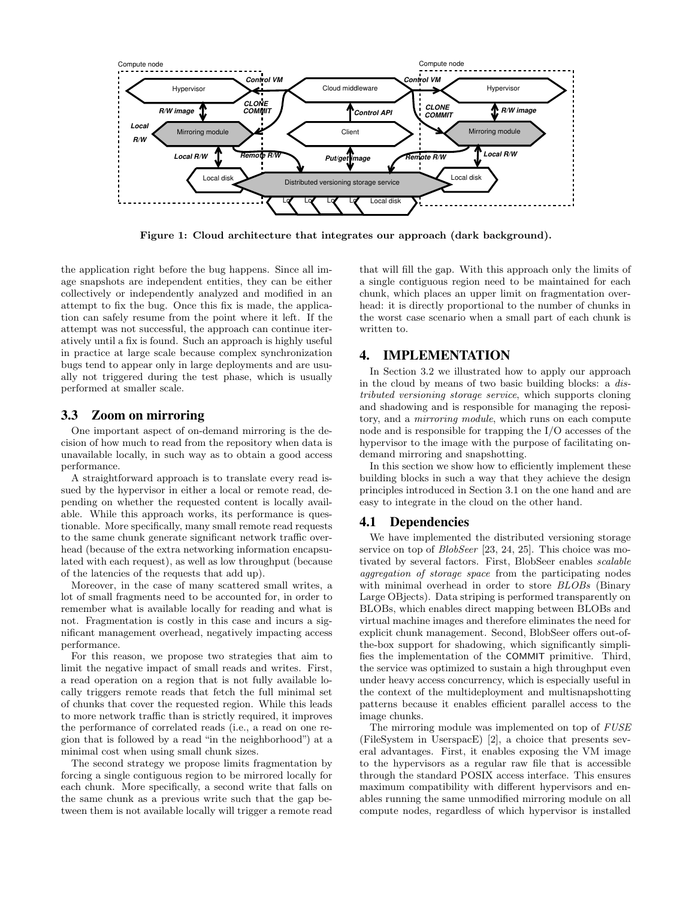

Figure 1: Cloud architecture that integrates our approach (dark background).

the application right before the bug happens. Since all image snapshots are independent entities, they can be either collectively or independently analyzed and modified in an attempt to fix the bug. Once this fix is made, the application can safely resume from the point where it left. If the attempt was not successful, the approach can continue iteratively until a fix is found. Such an approach is highly useful in practice at large scale because complex synchronization bugs tend to appear only in large deployments and are usually not triggered during the test phase, which is usually performed at smaller scale.

#### **3.3 Zoom on mirroring**

One important aspect of on-demand mirroring is the decision of how much to read from the repository when data is unavailable locally, in such way as to obtain a good access performance.

A straightforward approach is to translate every read issued by the hypervisor in either a local or remote read, depending on whether the requested content is locally available. While this approach works, its performance is questionable. More specifically, many small remote read requests to the same chunk generate significant network traffic overhead (because of the extra networking information encapsulated with each request), as well as low throughput (because of the latencies of the requests that add up).

Moreover, in the case of many scattered small writes, a lot of small fragments need to be accounted for, in order to remember what is available locally for reading and what is not. Fragmentation is costly in this case and incurs a significant management overhead, negatively impacting access performance.

For this reason, we propose two strategies that aim to limit the negative impact of small reads and writes. First, a read operation on a region that is not fully available locally triggers remote reads that fetch the full minimal set of chunks that cover the requested region. While this leads to more network traffic than is strictly required, it improves the performance of correlated reads (i.e., a read on one region that is followed by a read "in the neighborhood") at a minimal cost when using small chunk sizes.

The second strategy we propose limits fragmentation by forcing a single contiguous region to be mirrored locally for each chunk. More specifically, a second write that falls on the same chunk as a previous write such that the gap between them is not available locally will trigger a remote read

that will fill the gap. With this approach only the limits of a single contiguous region need to be maintained for each chunk, which places an upper limit on fragmentation overhead: it is directly proportional to the number of chunks in the worst case scenario when a small part of each chunk is written to.

# **4. IMPLEMENTATION**

In Section 3.2 we illustrated how to apply our approach in the cloud by means of two basic building blocks: a distributed versioning storage service, which supports cloning and shadowing and is responsible for managing the repository, and a mirroring module, which runs on each compute node and is responsible for trapping the I/O accesses of the hypervisor to the image with the purpose of facilitating ondemand mirroring and snapshotting.

In this section we show how to efficiently implement these building blocks in such a way that they achieve the design principles introduced in Section 3.1 on the one hand and are easy to integrate in the cloud on the other hand.

#### **4.1 Dependencies**

We have implemented the distributed versioning storage service on top of *BlobSeer* [23, 24, 25]. This choice was motivated by several factors. First, BlobSeer enables scalable aggregation of storage space from the participating nodes with minimal overhead in order to store BLOBs (Binary Large OBjects). Data striping is performed transparently on BLOBs, which enables direct mapping between BLOBs and virtual machine images and therefore eliminates the need for explicit chunk management. Second, BlobSeer offers out-ofthe-box support for shadowing, which significantly simplifies the implementation of the COMMIT primitive. Third, the service was optimized to sustain a high throughput even under heavy access concurrency, which is especially useful in the context of the multideployment and multisnapshotting patterns because it enables efficient parallel access to the image chunks.

The mirroring module was implemented on top of FUSE (FileSystem in UserspacE) [2], a choice that presents several advantages. First, it enables exposing the VM image to the hypervisors as a regular raw file that is accessible through the standard POSIX access interface. This ensures maximum compatibility with different hypervisors and enables running the same unmodified mirroring module on all compute nodes, regardless of which hypervisor is installed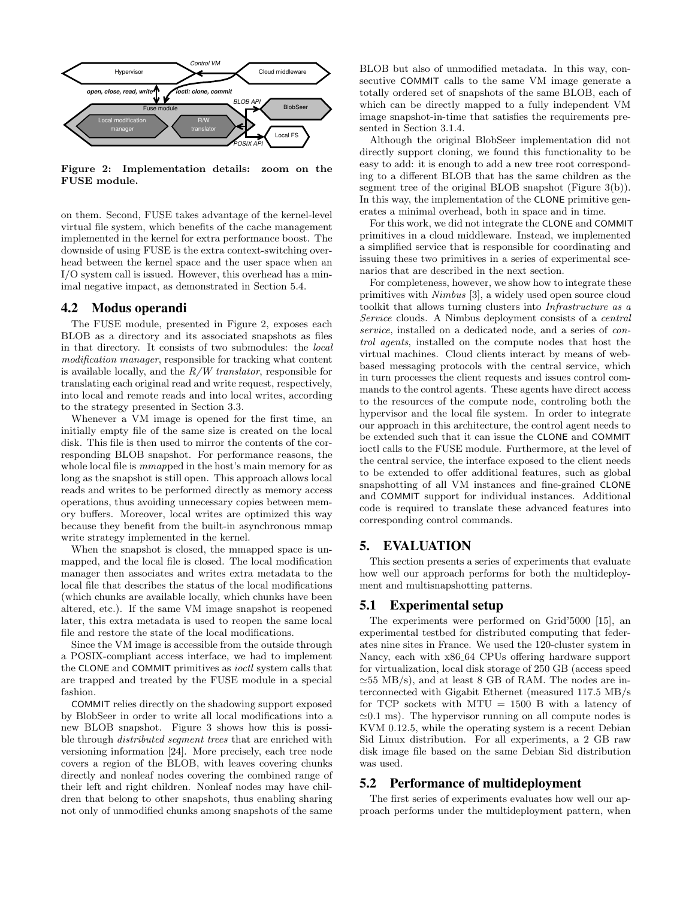

Figure 2: Implementation details: zoom on the FUSE module.

on them. Second, FUSE takes advantage of the kernel-level virtual file system, which benefits of the cache management implemented in the kernel for extra performance boost. The downside of using FUSE is the extra context-switching overhead between the kernel space and the user space when an I/O system call is issued. However, this overhead has a minimal negative impact, as demonstrated in Section 5.4.

#### **4.2 Modus operandi**

The FUSE module, presented in Figure 2, exposes each BLOB as a directory and its associated snapshots as files in that directory. It consists of two submodules: the local modification manager, responsible for tracking what content is available locally, and the  $R/W$  translator, responsible for translating each original read and write request, respectively, into local and remote reads and into local writes, according to the strategy presented in Section 3.3.

Whenever a VM image is opened for the first time, an initially empty file of the same size is created on the local disk. This file is then used to mirror the contents of the corresponding BLOB snapshot. For performance reasons, the whole local file is  $mmapped$  in the host's main memory for as long as the snapshot is still open. This approach allows local reads and writes to be performed directly as memory access operations, thus avoiding unnecessary copies between memory buffers. Moreover, local writes are optimized this way because they benefit from the built-in asynchronous mmap write strategy implemented in the kernel.

When the snapshot is closed, the mmapped space is unmapped, and the local file is closed. The local modification manager then associates and writes extra metadata to the local file that describes the status of the local modifications (which chunks are available locally, which chunks have been altered, etc.). If the same VM image snapshot is reopened later, this extra metadata is used to reopen the same local file and restore the state of the local modifications.

Since the VM image is accessible from the outside through a POSIX-compliant access interface, we had to implement the CLONE and COMMIT primitives as ioctl system calls that are trapped and treated by the FUSE module in a special fashion.

COMMIT relies directly on the shadowing support exposed by BlobSeer in order to write all local modifications into a new BLOB snapshot. Figure 3 shows how this is possible through *distributed segment trees* that are enriched with versioning information [24]. More precisely, each tree node covers a region of the BLOB, with leaves covering chunks directly and nonleaf nodes covering the combined range of their left and right children. Nonleaf nodes may have children that belong to other snapshots, thus enabling sharing not only of unmodified chunks among snapshots of the same BLOB but also of unmodified metadata. In this way, consecutive COMMIT calls to the same VM image generate a totally ordered set of snapshots of the same BLOB, each of which can be directly mapped to a fully independent VM image snapshot-in-time that satisfies the requirements presented in Section 3.1.4.

Although the original BlobSeer implementation did not directly support cloning, we found this functionality to be easy to add: it is enough to add a new tree root corresponding to a different BLOB that has the same children as the segment tree of the original BLOB snapshot (Figure 3(b)). In this way, the implementation of the CLONE primitive generates a minimal overhead, both in space and in time.

For this work, we did not integrate the CLONE and COMMIT primitives in a cloud middleware. Instead, we implemented a simplified service that is responsible for coordinating and issuing these two primitives in a series of experimental scenarios that are described in the next section.

For completeness, however, we show how to integrate these primitives with Nimbus [3], a widely used open source cloud toolkit that allows turning clusters into Infrastructure as a Service clouds. A Nimbus deployment consists of a central service, installed on a dedicated node, and a series of control agents, installed on the compute nodes that host the virtual machines. Cloud clients interact by means of webbased messaging protocols with the central service, which in turn processes the client requests and issues control commands to the control agents. These agents have direct access to the resources of the compute node, controling both the hypervisor and the local file system. In order to integrate our approach in this architecture, the control agent needs to be extended such that it can issue the CLONE and COMMIT ioctl calls to the FUSE module. Furthermore, at the level of the central service, the interface exposed to the client needs to be extended to offer additional features, such as global snapshotting of all VM instances and fine-grained CLONE and COMMIT support for individual instances. Additional code is required to translate these advanced features into corresponding control commands.

# **5. EVALUATION**

This section presents a series of experiments that evaluate how well our approach performs for both the multideployment and multisnapshotting patterns.

## **5.1 Experimental setup**

The experiments were performed on Grid'5000 [15], an experimental testbed for distributed computing that federates nine sites in France. We used the 120-cluster system in Nancy, each with  $x86-64$  CPUs offering hardware support for virtualization, local disk storage of 250 GB (access speed  $\simeq$  55 MB/s), and at least 8 GB of RAM. The nodes are interconnected with Gigabit Ethernet (measured 117.5 MB/s for TCP sockets with  $MTU = 1500$  B with a latency of  $\approx 0.1$  ms). The hypervisor running on all compute nodes is KVM 0.12.5, while the operating system is a recent Debian Sid Linux distribution. For all experiments, a 2 GB raw disk image file based on the same Debian Sid distribution was used.

## **5.2 Performance of multideployment**

The first series of experiments evaluates how well our approach performs under the multideployment pattern, when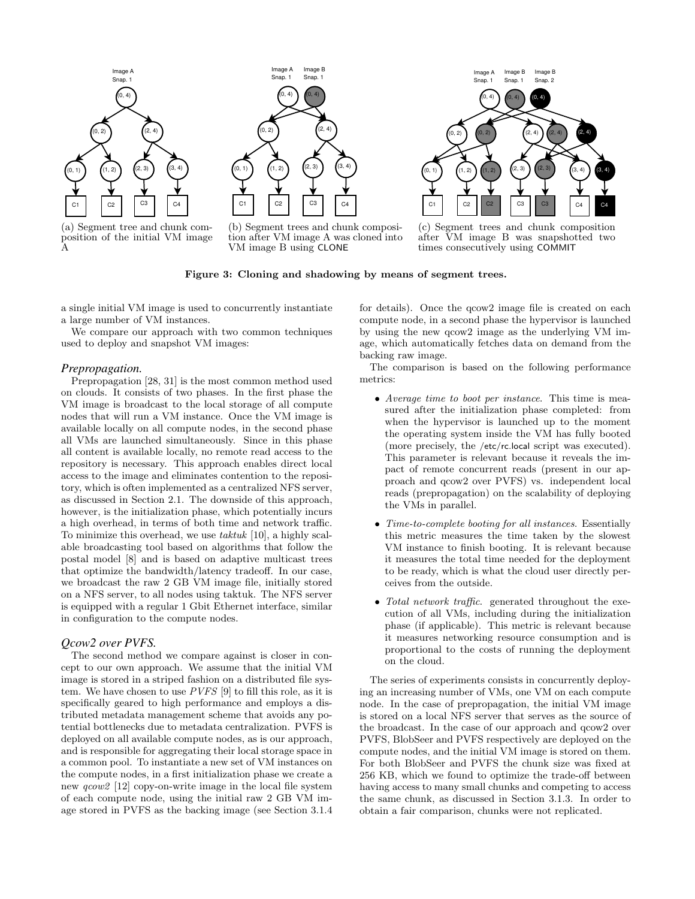

(a) Segment tree and chunk composition of the initial VM image A



(b) Segment trees and chunk composition after VM image A was cloned into VM image B using CLONE



(c) Segment trees and chunk composition after VM image B was snapshotted two times consecutively using COMMIT

Figure 3: Cloning and shadowing by means of segment trees.

a single initial VM image is used to concurrently instantiate a large number of VM instances.

We compare our approach with two common techniques used to deploy and snapshot VM images:

#### *Prepropagation.*

Prepropagation [28, 31] is the most common method used on clouds. It consists of two phases. In the first phase the VM image is broadcast to the local storage of all compute nodes that will run a VM instance. Once the VM image is available locally on all compute nodes, in the second phase all VMs are launched simultaneously. Since in this phase all content is available locally, no remote read access to the repository is necessary. This approach enables direct local access to the image and eliminates contention to the repository, which is often implemented as a centralized NFS server, as discussed in Section 2.1. The downside of this approach, however, is the initialization phase, which potentially incurs a high overhead, in terms of both time and network traffic. To minimize this overhead, we use taktuk [10], a highly scalable broadcasting tool based on algorithms that follow the postal model [8] and is based on adaptive multicast trees that optimize the bandwidth/latency tradeoff. In our case, we broadcast the raw 2 GB VM image file, initially stored on a NFS server, to all nodes using taktuk. The NFS server is equipped with a regular 1 Gbit Ethernet interface, similar in configuration to the compute nodes.

## *Qcow2 over PVFS.*

The second method we compare against is closer in concept to our own approach. We assume that the initial VM image is stored in a striped fashion on a distributed file system. We have chosen to use  $PVFS$  [9] to fill this role, as it is specifically geared to high performance and employs a distributed metadata management scheme that avoids any potential bottlenecks due to metadata centralization. PVFS is deployed on all available compute nodes, as is our approach, and is responsible for aggregating their local storage space in a common pool. To instantiate a new set of VM instances on the compute nodes, in a first initialization phase we create a new qcow2 [12] copy-on-write image in the local file system of each compute node, using the initial raw 2 GB VM image stored in PVFS as the backing image (see Section 3.1.4

for details). Once the qcow2 image file is created on each compute node, in a second phase the hypervisor is launched by using the new qcow2 image as the underlying VM image, which automatically fetches data on demand from the backing raw image.

The comparison is based on the following performance metrics:

- Average time to boot per instance. This time is measured after the initialization phase completed: from when the hypervisor is launched up to the moment the operating system inside the VM has fully booted (more precisely, the /etc/rc.local script was executed). This parameter is relevant because it reveals the impact of remote concurrent reads (present in our approach and qcow2 over PVFS) vs. independent local reads (prepropagation) on the scalability of deploying the VMs in parallel.
- Time-to-complete booting for all instances. Essentially this metric measures the time taken by the slowest VM instance to finish booting. It is relevant because it measures the total time needed for the deployment to be ready, which is what the cloud user directly perceives from the outside.
- Total network traffic. generated throughout the execution of all VMs, including during the initialization phase (if applicable). This metric is relevant because it measures networking resource consumption and is proportional to the costs of running the deployment on the cloud.

The series of experiments consists in concurrently deploying an increasing number of VMs, one VM on each compute node. In the case of prepropagation, the initial VM image is stored on a local NFS server that serves as the source of the broadcast. In the case of our approach and qcow2 over PVFS, BlobSeer and PVFS respectively are deployed on the compute nodes, and the initial VM image is stored on them. For both BlobSeer and PVFS the chunk size was fixed at 256 KB, which we found to optimize the trade-off between having access to many small chunks and competing to access the same chunk, as discussed in Section 3.1.3. In order to obtain a fair comparison, chunks were not replicated.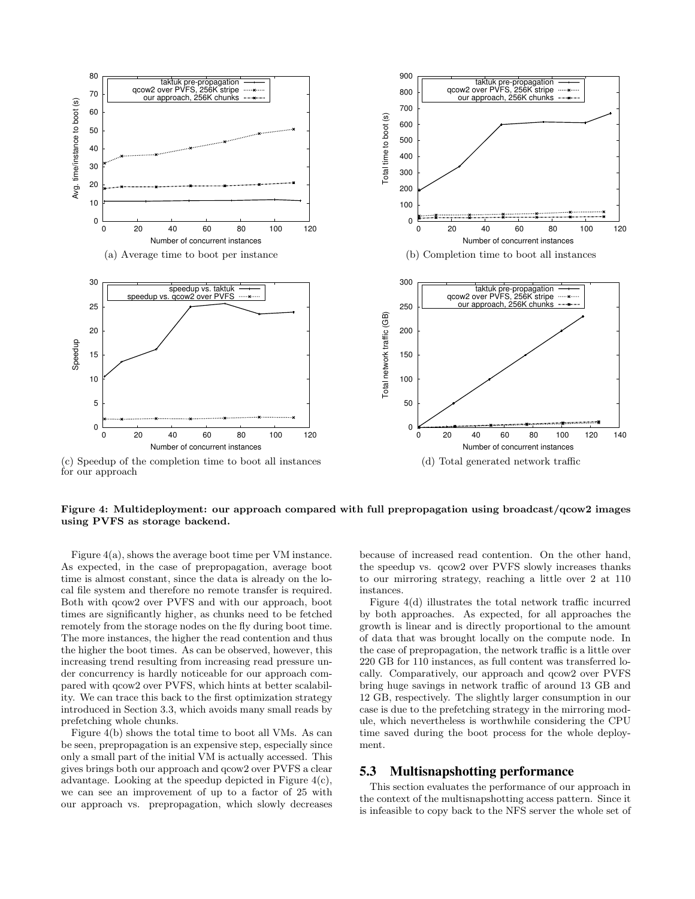

Figure 4: Multideployment: our approach compared with full prepropagation using broadcast/qcow2 images using PVFS as storage backend.

Figure 4(a), shows the average boot time per VM instance. As expected, in the case of prepropagation, average boot time is almost constant, since the data is already on the local file system and therefore no remote transfer is required. Both with qcow2 over PVFS and with our approach, boot times are significantly higher, as chunks need to be fetched remotely from the storage nodes on the fly during boot time. The more instances, the higher the read contention and thus the higher the boot times. As can be observed, however, this increasing trend resulting from increasing read pressure under concurrency is hardly noticeable for our approach compared with qcow2 over PVFS, which hints at better scalability. We can trace this back to the first optimization strategy introduced in Section 3.3, which avoids many small reads by prefetching whole chunks.

Figure 4(b) shows the total time to boot all VMs. As can be seen, prepropagation is an expensive step, especially since only a small part of the initial VM is actually accessed. This gives brings both our approach and qcow2 over PVFS a clear advantage. Looking at the speedup depicted in Figure 4(c), we can see an improvement of up to a factor of 25 with our approach vs. prepropagation, which slowly decreases

because of increased read contention. On the other hand, the speedup vs. qcow2 over PVFS slowly increases thanks to our mirroring strategy, reaching a little over 2 at 110 instances.

Figure 4(d) illustrates the total network traffic incurred by both approaches. As expected, for all approaches the growth is linear and is directly proportional to the amount of data that was brought locally on the compute node. In the case of prepropagation, the network traffic is a little over 220 GB for 110 instances, as full content was transferred locally. Comparatively, our approach and qcow2 over PVFS bring huge savings in network traffic of around 13 GB and 12 GB, respectively. The slightly larger consumption in our case is due to the prefetching strategy in the mirroring module, which nevertheless is worthwhile considering the CPU time saved during the boot process for the whole deployment.

## **5.3 Multisnapshotting performance**

This section evaluates the performance of our approach in the context of the multisnapshotting access pattern. Since it is infeasible to copy back to the NFS server the whole set of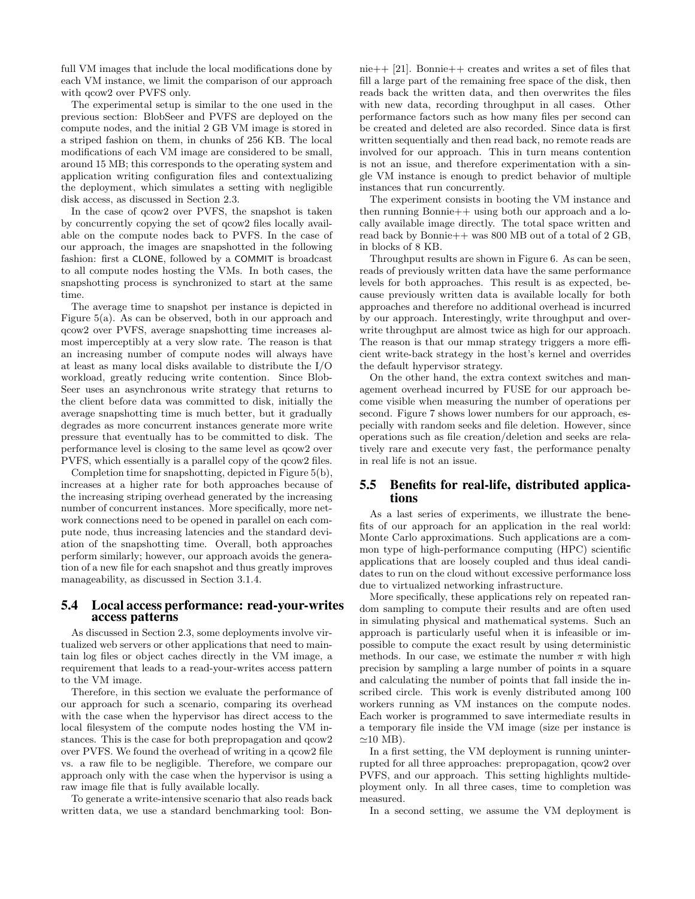full VM images that include the local modifications done by each VM instance, we limit the comparison of our approach with qcow2 over PVFS only.

The experimental setup is similar to the one used in the previous section: BlobSeer and PVFS are deployed on the compute nodes, and the initial 2 GB VM image is stored in a striped fashion on them, in chunks of 256 KB. The local modifications of each VM image are considered to be small, around 15 MB; this corresponds to the operating system and application writing configuration files and contextualizing the deployment, which simulates a setting with negligible disk access, as discussed in Section 2.3.

In the case of qcow2 over PVFS, the snapshot is taken by concurrently copying the set of qcow2 files locally available on the compute nodes back to PVFS. In the case of our approach, the images are snapshotted in the following fashion: first a CLONE, followed by a COMMIT is broadcast to all compute nodes hosting the VMs. In both cases, the snapshotting process is synchronized to start at the same time.

The average time to snapshot per instance is depicted in Figure 5(a). As can be observed, both in our approach and qcow2 over PVFS, average snapshotting time increases almost imperceptibly at a very slow rate. The reason is that an increasing number of compute nodes will always have at least as many local disks available to distribute the I/O workload, greatly reducing write contention. Since Blob-Seer uses an asynchronous write strategy that returns to the client before data was committed to disk, initially the average snapshotting time is much better, but it gradually degrades as more concurrent instances generate more write pressure that eventually has to be committed to disk. The performance level is closing to the same level as qcow2 over PVFS, which essentially is a parallel copy of the qcow2 files.

Completion time for snapshotting, depicted in Figure 5(b), increases at a higher rate for both approaches because of the increasing striping overhead generated by the increasing number of concurrent instances. More specifically, more network connections need to be opened in parallel on each compute node, thus increasing latencies and the standard deviation of the snapshotting time. Overall, both approaches perform similarly; however, our approach avoids the generation of a new file for each snapshot and thus greatly improves manageability, as discussed in Section 3.1.4.

## **5.4 Local access performance: read-your-writes access patterns**

As discussed in Section 2.3, some deployments involve virtualized web servers or other applications that need to maintain log files or object caches directly in the VM image, a requirement that leads to a read-your-writes access pattern to the VM image.

Therefore, in this section we evaluate the performance of our approach for such a scenario, comparing its overhead with the case when the hypervisor has direct access to the local filesystem of the compute nodes hosting the VM instances. This is the case for both prepropagation and qcow2 over PVFS. We found the overhead of writing in a qcow2 file vs. a raw file to be negligible. Therefore, we compare our approach only with the case when the hypervisor is using a raw image file that is fully available locally.

To generate a write-intensive scenario that also reads back written data, we use a standard benchmarking tool: Bonnie++ [21]. Bonnie++ creates and writes a set of files that fill a large part of the remaining free space of the disk, then reads back the written data, and then overwrites the files with new data, recording throughput in all cases. Other performance factors such as how many files per second can be created and deleted are also recorded. Since data is first written sequentially and then read back, no remote reads are involved for our approach. This in turn means contention is not an issue, and therefore experimentation with a single VM instance is enough to predict behavior of multiple instances that run concurrently.

The experiment consists in booting the VM instance and then running Bonnie++ using both our approach and a locally available image directly. The total space written and read back by Bonnie++ was 800 MB out of a total of 2 GB, in blocks of 8 KB.

Throughput results are shown in Figure 6. As can be seen, reads of previously written data have the same performance levels for both approaches. This result is as expected, because previously written data is available locally for both approaches and therefore no additional overhead is incurred by our approach. Interestingly, write throughput and overwrite throughput are almost twice as high for our approach. The reason is that our mmap strategy triggers a more efficient write-back strategy in the host's kernel and overrides the default hypervisor strategy.

On the other hand, the extra context switches and management overhead incurred by FUSE for our approach become visible when measuring the number of operations per second. Figure 7 shows lower numbers for our approach, especially with random seeks and file deletion. However, since operations such as file creation/deletion and seeks are relatively rare and execute very fast, the performance penalty in real life is not an issue.

## **5.5 Benefits for real-life, distributed applications**

As a last series of experiments, we illustrate the benefits of our approach for an application in the real world: Monte Carlo approximations. Such applications are a common type of high-performance computing (HPC) scientific applications that are loosely coupled and thus ideal candidates to run on the cloud without excessive performance loss due to virtualized networking infrastructure.

More specifically, these applications rely on repeated random sampling to compute their results and are often used in simulating physical and mathematical systems. Such an approach is particularly useful when it is infeasible or impossible to compute the exact result by using deterministic methods. In our case, we estimate the number  $\pi$  with high precision by sampling a large number of points in a square and calculating the number of points that fall inside the inscribed circle. This work is evenly distributed among 100 workers running as VM instances on the compute nodes. Each worker is programmed to save intermediate results in a temporary file inside the VM image (size per instance is  $\simeq$ 10 MB).

In a first setting, the VM deployment is running uninterrupted for all three approaches: prepropagation, qcow2 over PVFS, and our approach. This setting highlights multideployment only. In all three cases, time to completion was measured.

In a second setting, we assume the VM deployment is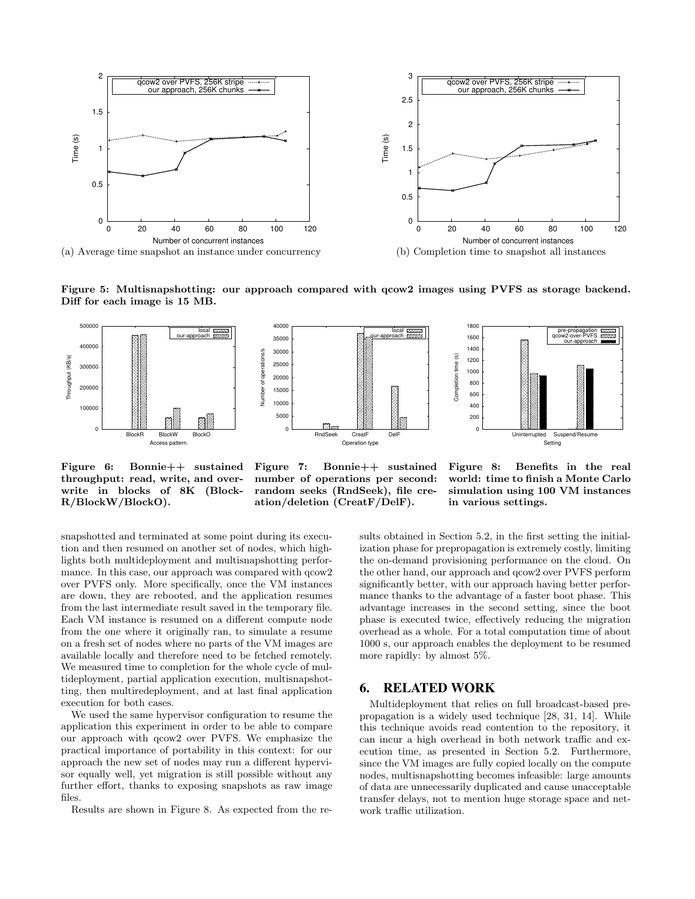

Figure 5: Multisnapshotting: our approach compared with qcow2 images using PVFS as storage backend. Diff for each image is 15 MB.



Figure 6: Bonnie++ sustained throughput: read, write, and overwrite in blocks of 8K (Block-R/BlockW/BlockO).

Figure 7: Bonnie++ sustained number of operations per second: random seeks (RndSeek), file creation/deletion (CreatF/DelF).

Figure 8: Benefits in the real world: time to finish a Monte Carlo simulation using 100 VM instances in various settings.

snapshotted and terminated at some point during its execution and then resumed on another set of nodes, which highlights both multideployment and multisnapshotting performance. In this case, our approach was compared with  $q_{\text{c}0}$ over PVFS only. More specifically, once the VM instances are down, they are rebooted, and the application resumes from the last intermediate result saved in the temporary file. Each VM instance is resumed on a different compute node from the one where it originally ran, to simulate a resume on a fresh set of nodes where no parts of the VM images are available locally and therefore need to be fetched remotely. We measured time to completion for the whole cycle of multideployment, partial application execution, multisnapshotting, then multiredeployment, and at last final application execution for both cases.

We used the same hypervisor configuration to resume the application this experiment in order to be able to compare our approach with qcow2 over PVFS. We emphasize the practical importance of portability in this context: for our approach the new set of nodes may run a different hypervisor equally well, yet migration is still possible without any further effort, thanks to exposing snapshots as raw image files.

Results are shown in Figure 8. As expected from the re-

sults obtained in Section 5.2, in the first setting the initialization phase for prepropagation is extremely costly, limiting the on-demand provisioning performance on the cloud. On the other hand, our approach and qcow2 over PVFS perform significantly better, with our approach having better performance thanks to the advantage of a faster boot phase. This advantage increases in the second setting, since the boot phase is executed twice, effectively reducing the migration overhead as a whole. For a total computation time of about 1000 s, our approach enables the deployment to be resumed more rapidly: by almost 5%.

## **6. RELATED WORK**

Multideployment that relies on full broadcast-based prepropagation is a widely used technique [28, 31, 14]. While this technique avoids read contention to the repository, it can incur a high overhead in both network traffic and execution time, as presented in Section 5.2. Furthermore, since the VM images are fully copied locally on the compute nodes, multisnapshotting becomes infeasible: large amounts of data are unnecessarily duplicated and cause unacceptable transfer delays, not to mention huge storage space and network traffic utilization.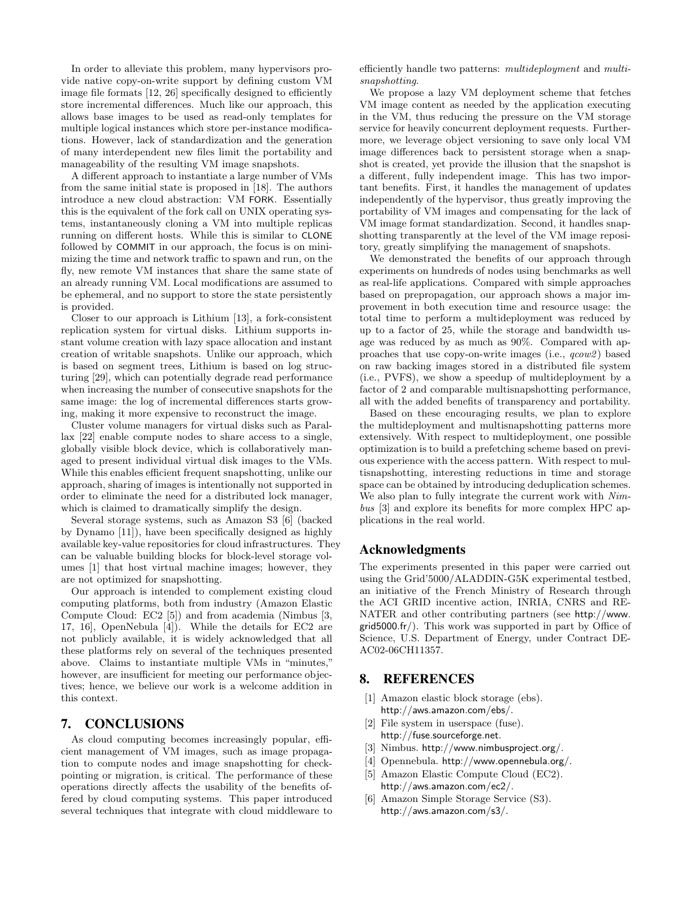In order to alleviate this problem, many hypervisors provide native copy-on-write support by defining custom VM image file formats [12, 26] specifically designed to efficiently store incremental differences. Much like our approach, this allows base images to be used as read-only templates for multiple logical instances which store per-instance modifications. However, lack of standardization and the generation of many interdependent new files limit the portability and manageability of the resulting VM image snapshots.

A different approach to instantiate a large number of VMs from the same initial state is proposed in [18]. The authors introduce a new cloud abstraction: VM FORK. Essentially this is the equivalent of the fork call on UNIX operating systems, instantaneously cloning a VM into multiple replicas running on different hosts. While this is similar to CLONE followed by COMMIT in our approach, the focus is on minimizing the time and network traffic to spawn and run, on the fly, new remote VM instances that share the same state of an already running VM. Local modifications are assumed to be ephemeral, and no support to store the state persistently is provided.

Closer to our approach is Lithium [13], a fork-consistent replication system for virtual disks. Lithium supports instant volume creation with lazy space allocation and instant creation of writable snapshots. Unlike our approach, which is based on segment trees, Lithium is based on log structuring [29], which can potentially degrade read performance when increasing the number of consecutive snapshots for the same image: the log of incremental differences starts growing, making it more expensive to reconstruct the image.

Cluster volume managers for virtual disks such as Parallax [22] enable compute nodes to share access to a single, globally visible block device, which is collaboratively managed to present individual virtual disk images to the VMs. While this enables efficient frequent snapshotting, unlike our approach, sharing of images is intentionally not supported in order to eliminate the need for a distributed lock manager, which is claimed to dramatically simplify the design.

Several storage systems, such as Amazon S3 [6] (backed by Dynamo [11]), have been specifically designed as highly available key-value repositories for cloud infrastructures. They can be valuable building blocks for block-level storage volumes [1] that host virtual machine images; however, they are not optimized for snapshotting.

Our approach is intended to complement existing cloud computing platforms, both from industry (Amazon Elastic Compute Cloud: EC2 [5]) and from academia (Nimbus [3, 17, 16], OpenNebula [4]). While the details for EC2 are not publicly available, it is widely acknowledged that all these platforms rely on several of the techniques presented above. Claims to instantiate multiple VMs in "minutes," however, are insufficient for meeting our performance objectives; hence, we believe our work is a welcome addition in this context.

# **7. CONCLUSIONS**

As cloud computing becomes increasingly popular, efficient management of VM images, such as image propagation to compute nodes and image snapshotting for checkpointing or migration, is critical. The performance of these operations directly affects the usability of the benefits offered by cloud computing systems. This paper introduced several techniques that integrate with cloud middleware to efficiently handle two patterns: multideployment and multisnapshotting.

We propose a lazy VM deployment scheme that fetches VM image content as needed by the application executing in the VM, thus reducing the pressure on the VM storage service for heavily concurrent deployment requests. Furthermore, we leverage object versioning to save only local VM image differences back to persistent storage when a snapshot is created, yet provide the illusion that the snapshot is a different, fully independent image. This has two important benefits. First, it handles the management of updates independently of the hypervisor, thus greatly improving the portability of VM images and compensating for the lack of VM image format standardization. Second, it handles snapshotting transparently at the level of the VM image repository, greatly simplifying the management of snapshots.

We demonstrated the benefits of our approach through experiments on hundreds of nodes using benchmarks as well as real-life applications. Compared with simple approaches based on prepropagation, our approach shows a major improvement in both execution time and resource usage: the total time to perform a multideployment was reduced by up to a factor of 25, while the storage and bandwidth usage was reduced by as much as 90%. Compared with approaches that use copy-on-write images (i.e.,  $qcow2$ ) based on raw backing images stored in a distributed file system (i.e., PVFS), we show a speedup of multideployment by a factor of 2 and comparable multisnapshotting performance, all with the added benefits of transparency and portability.

Based on these encouraging results, we plan to explore the multideployment and multisnapshotting patterns more extensively. With respect to multideployment, one possible optimization is to build a prefetching scheme based on previous experience with the access pattern. With respect to multisnapshotting, interesting reductions in time and storage space can be obtained by introducing deduplication schemes. We also plan to fully integrate the current work with  $N<sub>im</sub>$ bus [3] and explore its benefits for more complex HPC applications in the real world.

## **Acknowledgments**

The experiments presented in this paper were carried out using the Grid'5000/ALADDIN-G5K experimental testbed, an initiative of the French Ministry of Research through the ACI GRID incentive action, INRIA, CNRS and RE-NATER and other contributing partners (see http://www. grid5000.fr/). This work was supported in part by Office of Science, U.S. Department of Energy, under Contract DE-AC02-06CH11357.

## **8. REFERENCES**

- [1] Amazon elastic block storage (ebs). http://aws.amazon.com/ebs/.
- [2] File system in userspace (fuse). http://fuse.sourceforge.net.
- [3] Nimbus. http://www.nimbusproject.org/.
- [4] Opennebula. http://www.opennebula.org/.
- [5] Amazon Elastic Compute Cloud (EC2). http://aws.amazon.com/ec2/.
- [6] Amazon Simple Storage Service (S3). http://aws.amazon.com/s3/.